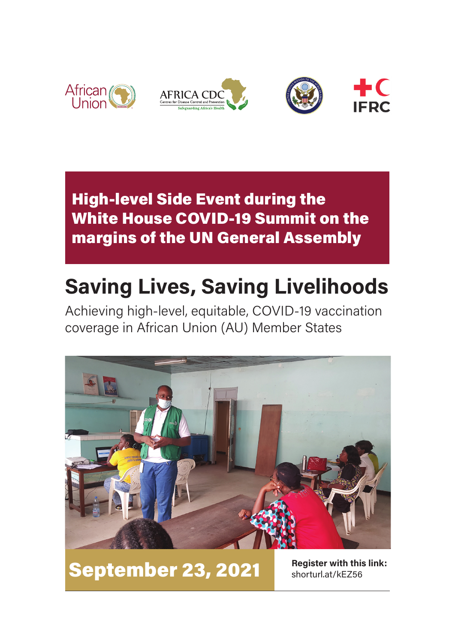

## High-level Side Event during the White House COVID-19 Summit on the margins of the UN General Assembly

# **Saving Lives, Saving Livelihoods**

Achieving high-level, equitable, COVID-19 vaccination coverage in African Union (AU) Member States



September 23, 2021

**Register with this link:** shorturl.at/kEZ56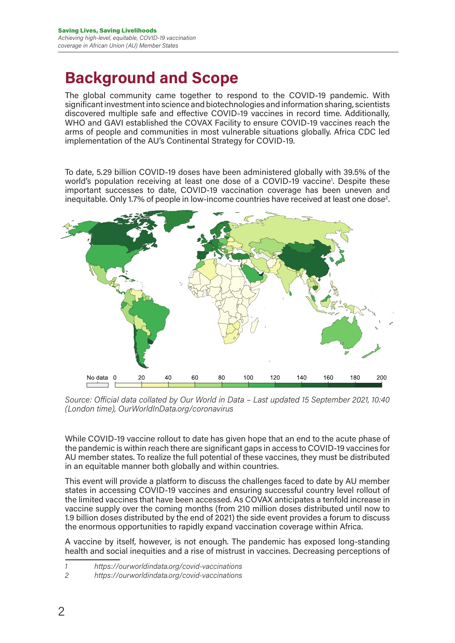### **Background and Scope**

The global community came together to respond to the COVID-19 pandemic. With significant investment into science and biotechnologies and information sharing, scientists discovered multiple safe and effective COVID-19 vaccines in record time. Additionally, WHO and GAVI established the COVAX Facility to ensure COVID-19 vaccines reach the arms of people and communities in most vulnerable situations globally. Africa CDC led implementation of the AU's Continental Strategy for COVID-19.

To date, 5.29 billion COVID-19 doses have been administered globally with 39.5% of the world's population receiving at least one dose of a COVID-19 vaccine<sup>1</sup>. Despite these important successes to date, COVID-19 vaccination coverage has been uneven and inequitable. Only 1.7% of people in low-income countries have received at least one dose<sup>2</sup>.





While COVID-19 vaccine rollout to date has given hope that an end to the acute phase of the pandemic is within reach there are significant gaps in access to COVID-19 vaccines for AU member states. To realize the full potential of these vaccines, they must be distributed in an equitable manner both globally and within countries.

This event will provide a platform to discuss the challenges faced to date by AU member states in accessing COVID-19 vaccines and ensuring successful country level rollout of the limited vaccines that have been accessed. As COVAX anticipates a tenfold increase in vaccine supply over the coming months (from 210 million doses distributed until now to 1.9 billion doses distributed by the end of 2021) the side event provides a forum to discuss the enormous opportunities to rapidly expand vaccination coverage within Africa.

A vaccine by itself, however, is not enough. The pandemic has exposed long-standing health and social inequities and a rise of mistrust in vaccines. Decreasing perceptions of

*<sup>1</sup> https://ourworldindata.org/covid-vaccinations*

*<sup>2</sup> https://ourworldindata.org/covid-vaccinations*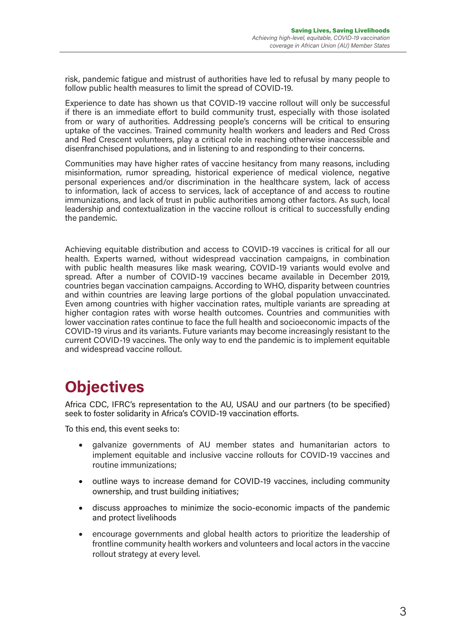risk, pandemic fatigue and mistrust of authorities have led to refusal by many people to follow public health measures to limit the spread of COVID-19.

Experience to date has shown us that COVID-19 vaccine rollout will only be successful if there is an immediate effort to build community trust, especially with those isolated from or wary of authorities. Addressing people's concerns will be critical to ensuring uptake of the vaccines. Trained community health workers and leaders and Red Cross and Red Crescent volunteers, play a critical role in reaching otherwise inaccessible and disenfranchised populations, and in listening to and responding to their concerns.

Communities may have higher rates of vaccine hesitancy from many reasons, including misinformation, rumor spreading, historical experience of medical violence, negative personal experiences and/or discrimination in the healthcare system, lack of access to information, lack of access to services, lack of acceptance of and access to routine immunizations, and lack of trust in public authorities among other factors. As such, local leadership and contextualization in the vaccine rollout is critical to successfully ending the pandemic.

Achieving equitable distribution and access to COVID-19 vaccines is critical for all our health. Experts warned, without widespread vaccination campaigns, in combination with public health measures like mask wearing, COVID-19 variants would evolve and spread. After a number of COVID-19 vaccines became available in December 2019, countries began vaccination campaigns. According to WHO, disparity between countries and within countries are leaving large portions of the global population unvaccinated. Even among countries with higher vaccination rates, multiple variants are spreading at higher contagion rates with worse health outcomes. Countries and communities with lower vaccination rates continue to face the full health and socioeconomic impacts of the COVID-19 virus and its variants. Future variants may become increasingly resistant to the current COVID-19 vaccines. The only way to end the pandemic is to implement equitable and widespread vaccine rollout.

# **Objectives**

Africa CDC, IFRC's representation to the AU, USAU and our partners (to be specified) seek to foster solidarity in Africa's COVID-19 vaccination efforts.

To this end, this event seeks to:

- • galvanize governments of AU member states and humanitarian actors to implement equitable and inclusive vaccine rollouts for COVID-19 vaccines and routine immunizations;
- outline ways to increase demand for COVID-19 vaccines, including community ownership, and trust building initiatives;
- • discuss approaches to minimize the socio-economic impacts of the pandemic and protect livelihoods
- encourage governments and global health actors to prioritize the leadership of frontline community health workers and volunteers and local actors in the vaccine rollout strategy at every level.